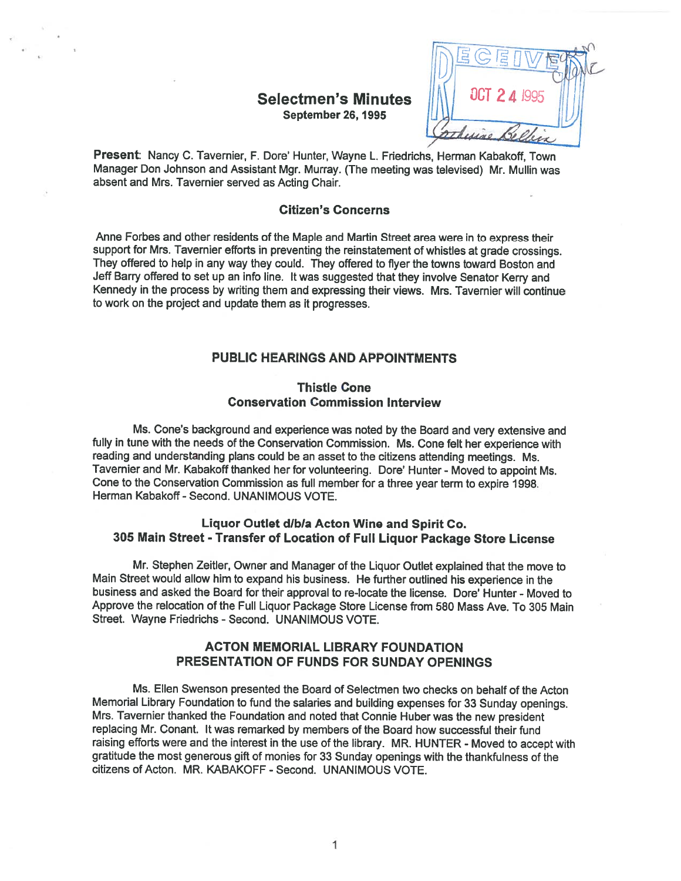# September 26, 1995



Present: Nancy C. Tavernier, F. Dote' Hunter, Wayne L. Friedrichs, Herman Kabakoff, Town Manager Don Johnson and Assistant Mgr. Murray. (The meeting was televised) Mr. Mullin was absent and Mrs. Tavernier served as Acting Chair.

#### Citizen's Concerns

Anne Forbes and other residents of the Maple and Martin Street area were in to express their suppor<sup>t</sup> for Mrs. Tavernier efforts in preventing the reinstatement of whistles at grade crossings. They offered to help in any way they could. They offered to flyer the towns toward Boston and Jeff Barry offered to set up an info line. It was suggested that they involve Senator Kerry and Kennedy in the process by writing them and expressing their views. Mrs. Tavernier will continue to work on the project and update them as it progresses.

## PUBLIC HEARINGS AND APPOINTMENTS

## Thistle Cone Conservation Commission Interview

Ms. Cone's background and experience was noted by the Board and very extensive and fully in tune with the needs of the Conservation Commission. Ms. Cone felt her experience with reading and understanding <sup>p</sup>lans could be an asset to the citizens attending meetings. Ms. Tavernier and Mr. Kabakoff thanked her for volunteering. Dote' Hunter - Moved to appoint Ms. Cone to the Conservation Commission as full member for <sup>a</sup> three year term to expire 1998. Herman Kabakoff - Second. UNANIMOUS VOTE.

## Liquor Outlet d/b/a Acton Wine and Spirit Co. 305 Main Street -Transfer of Location of Full Liquor Package Store License

Mr. Stephen Zeitler, Owner and Manager of the Liquor Outlet explained that the move to Main Street would allow him to expan<sup>d</sup> his business. He further outlined his experience in the business and asked the Board for their approval to re-locate the license. Dore' Hunter - Moved to Approve the relocation of the Full Liquor Package Store License from 580 Mass Ave. To 305 Main Street. Wayne Friedrichs - Second. UNANIMOUS VOTE.

# ACTON MEMORIAL LIBRARY FOUNDATION PRESENTATION OF FUNDS FOR SUNDAY OPENINGS

Ms. Ellen Swenson presented the Board of Selectmen two checks on behalf of the Acton Memorial Library Foundation to fund the salaries and building expenses for <sup>33</sup> Sunday openings. Mrs. Tavernier thanked the Foundation and noted that Connie Huber was the new president replacing Mr. Conant. It was remarked by members of the Board how successful their fund raising efforts were and the interest in the use of the library. MR. HUNTER - Moved to accept with gratitude the most generous gift of monies for 33 Sunday openings with the thankfulness of the citizens of Acton. MR. KABAKOFF -Second. UNANIMOUS VOTE.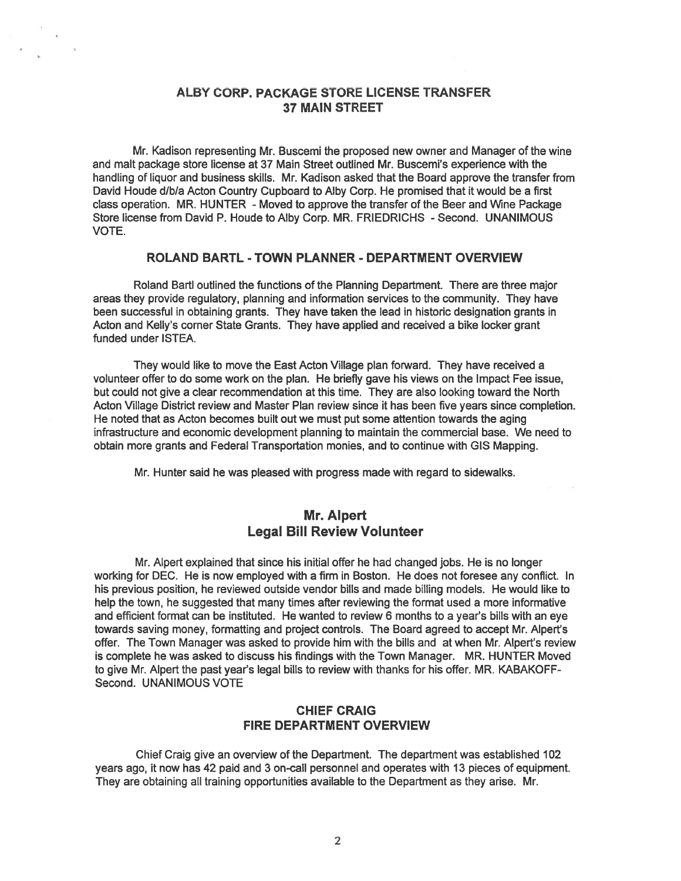## ALBY CORP. PACKAGE STORE LICENSE TRANSFER 37 MAIN STREET

Mr. Kadison representing Mr. Buscemi the proposed new owner and Manager of the wine and malt package store license at 37 Main Street outlined Mr. Buscemi's experience with the handling of liquor and business skills. Mr. Kadison asked that the Board approve the transfer from David Houde d/b/a Acton Country Cupboard to Alby Corp. He promised that it would be <sup>a</sup> first class operation. MR. HUNTER - Moved to approve the transfer of the Beer and Wine Package Store license from David P. Houde to Alby Corp. MR. FRIEDRICHS - Second. UNANIMOUS VOTE.

## ROLAND BARTL - TOWN PLANNER - DEPARTMENT OVERVIEW

Roland Bartl outlined the functions of the Planning Department. There are three major areas they provide regulatory, planning and information services to the community. They have been successful in obtaining grants. They have taken the lead in historic designation grants in Acton and Kelly's corner State Grants. They have applied and received <sup>a</sup> bike locker gran<sup>t</sup> funded under ISTEA.

They would like to move the East Acton Village plan forward. They have received <sup>a</sup> volunteer offer to do some work on the plan. He briefly gave his views on the Impact Fee issue, but could not give <sup>a</sup> clear recommendation at this time. They are also looking toward the North Acton Village District review and Master Plan review since it has been five years since completion. He noted that as Acton becomes built out we must pu<sup>t</sup> some attention towards the aging infrastructure and economic development planning to maintain the commercial base. We need to obtain more grants and Federal Transportation monies, and to continue with GIS Mapping.

Mr. Hunter said he was pleased with progress made with regard to sidewalks.

# Mr. Alpert Legal Bill Review Volunteer

Mr. Alpert explained that since his initial offer he had changed jobs. He is no longer working for DEC. He is now employed with <sup>a</sup> firm in Boston. He does not foresee any conflict. In his previous position, he reviewed outside vendor bills and made billing models. He would like to help the town, he suggested that many times after reviewing the format used <sup>a</sup> more informative and efficient format can be instituted. He wanted to review 6 months to a year's bills with an eye towards saving money, formatting and project controls. The Board agreed to accep<sup>t</sup> Mr. Alpert's offer. The Town Manager was asked to provide him with the bills and at when Mr. Alpert's review is complete he was asked to discuss his findings with the Town Manager. MR. HUNTER Moved to give Mr. Alpert the pas<sup>t</sup> year's legal bills to review with thanks for his offer. MR. KABAKOFF Second. UNANIMOUS VOTE

## CHIEF CRAIG FIRE DEPARTMENT OVERVIEW

Chief Craig give an overview of the Department. The department was established 102 years ago, it now has 42 paid and 3 on-call personnel and operates with 13 pieces of equipment. They are obtaining all training opportunities available to the Department as they arise. Mr.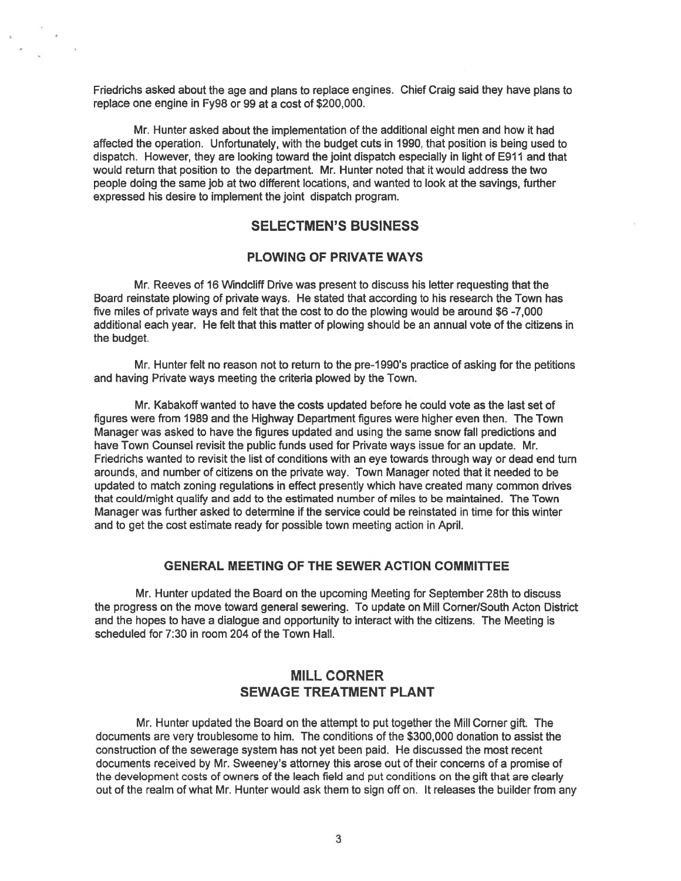Friedrichs asked about the age and <sup>p</sup>lans to replace engines. Chief Craig said they have <sup>p</sup>lans to replace one engine in Fy98 or 99 at <sup>a</sup> cost of \$200,000.

Mr. Hunter asked about the implementation of the additional eight men and how it had affected the operation. Unfortunately, with the budget cuts in 1990, that position is being used to dispatch. However, they are looking toward the joint dispatch especially in light of E911 and that would return that position to the department. Mr. Hunter noted that it would address the two people doing the same job at two different locations, and wanted to look at the savings, further expressed his desire to implement the joint dispatch program.

# SELECTMEN'S BUSINESS

## PLOWING OF PRIVATE WAYS

Mr. Reeves of 16 Windcliff Drive was presen<sup>t</sup> to discuss his letter requesting that the Board reinstate plowing of private ways. He stated that according to his research the Town has five miles of private ways and felt that the cost to do the plowing would be around \$6 -7,000 additional each year. He felt that this matter of plowing should be an annual vote of the citizens in the budget.

Mr. Hunter felt no reason not to return to the pre-1 990's practice of asking for the petitions and having Private ways meeting the criteria plowed by the Town.

Mr. Kabakoff wanted to have the costs updated before he could vote as the last set of figures were from 1989 and the Highway Department figures were higher even then. The Town Manager was asked to have the figures updated and using the same snow fall predictions and have Town Counsel revisit the public funds used for Private ways issue for an update. Mr. Friedrichs wanted to revisit the list of conditions with an eye towards through way or dead end turn arounds, and number of citizens on the private way. Town Manager noted that it needed to be updated to match zoning regulations in effect presently which have created many common drives that could/might qualify and add to the estimated number of miles to be maintained. The Town Manager was further asked to determine if the service could be reinstated in time for this winter and to ge<sup>t</sup> the cost estimate ready for possible town meeting action in April.

## GENERAL MEETING OF THE SEWER ACTION COMMITTEE

Mr. Hunter updated the Board on the upcoming Meeting for September 28th to discuss the progress on the move toward general sewering. To update on Mill Corner/South Acton District and the hopes to have <sup>a</sup> dialogue and opportunity to interact with the citizens. The Meeting is scheduled for 7:30 in room 204 of the Town Hall.

# MILL CORNER SEWAGE TREATMENT PLANT

Mr. Hunter updated the Board on the attempt to put together the Mill Corner gift. The documents are very troublesome to him. The conditions of the \$300,000 donation to assist the construction of the sewerage system has not ye<sup>t</sup> been paid. He discussed the most recent documents received by Mr. Sweeney's attorney this arose out of their concerns of <sup>a</sup> promise of the development costs of owners of the leach field and pu<sup>t</sup> conditions on the gift that are clearly out of the realm of what Mr. Hunter would ask them to sign off on. It releases the builder from any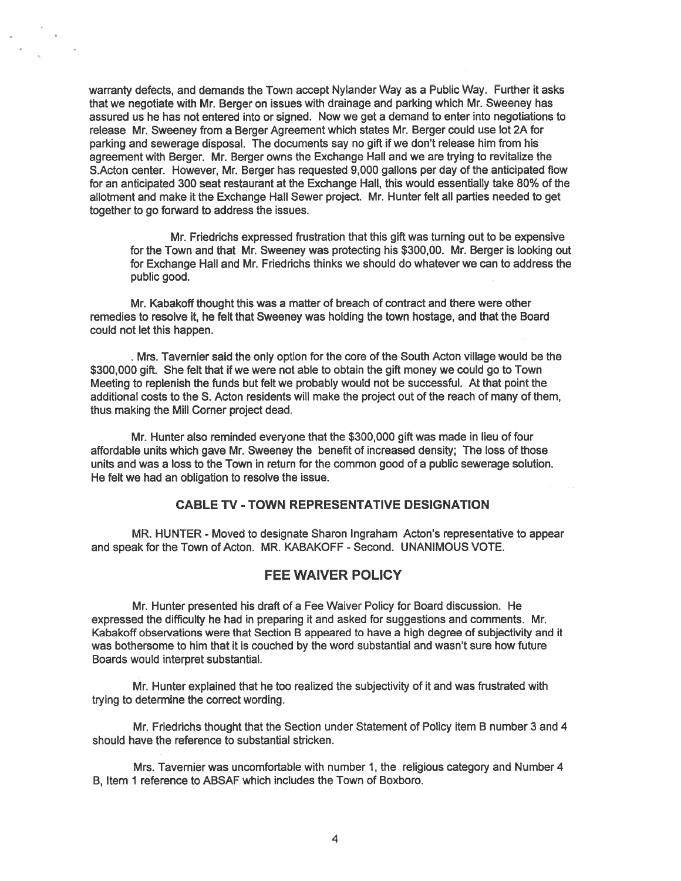warranty defects, and demands the Town accep<sup>t</sup> Nylander Way as <sup>a</sup> Public Way. Further it asks that we negotiate with Mr. Berger on issues with drainage and parking which Mr. Sweeney has assured us he has not entered into or signed. Now we ge<sup>t</sup> <sup>a</sup> demand to enter into negotiations to release Mr. Sweeney from <sup>a</sup> Berger Agreement which states Mr. Berger could use lot 2A for parking and sewerage disposal. The documents say no gift if we don't release him from his agreemen<sup>t</sup> with Berger. Mr. Berger owns the Exchange Hall and we are trying to revitalize the S.Acton center. However, Mr. Berger has requested 9,000 gallons per day of the anticipated flow for an anticipated 300 seat restaurant at the Exchange Hall, this would essentially take 80% of the allotment and make it the Exchange Hall Sewer project. Mr. Hunter felt all parties needed to ge<sup>t</sup> together to go forward to address the issues.

Mr. Friedrichs expressed frustration that this gift was turning out to be expensive for the Town and that Mr. Sweeney was protecting his \$300,00. Mr. Berger is looking out for Exchange Hall and Mr. Friedrichs thinks we should do whatever we can to address the public good.

Mr. Kabakoff thought this was <sup>a</sup> matter of breach of contract and there were other remedies to resolve it, he felt that Sweeney was holding the town hostage, and that the Board could not let this happen.

Mrs. Tavernier said the only option for the core of the South Acton village would be the \$300,000 gift. She felt that if we were not able to obtain the gift money we could go to Town Meeting to replenish the funds but felt we probably would not be successful. At that point the additional costs to the S. Acton residents will make the project out of the reach of many of them, thus making the Mill Cornet project dead.

Mr. Hunter also reminded everyone that the \$300,000 gift was made in lieu of four affordable units which gave Mt. Sweeney the benefit of increased density; The loss of those units and was <sup>a</sup> loss to the Town in return for the common good of <sup>a</sup> public sewerage solution. He felt we had an obligation to resolve the issue.

#### CABLE TV -TOWN REPRESENTATIVE DESIGNATION

MR. HUNTER - Moved to designate Sharon Ingraham Acton's representative to appear and speak for the Town of Acton. MR. KABAKOFF - Second. UNANIMOUS VOTE.

## FEE WAIVER POLICY

Mr. Hunter presented his draft of <sup>a</sup> Fee Waiver Policy for Board discussion. He expressed the difficulty he had in preparing it and asked for suggestions and comments. Mr. Kabakoff observations were that Section B appeared to have <sup>a</sup> high degree of subjectivity and it was bothersome to him that it is couched by the word substantial and wasn't sure how future Boards would interpret substantial.

Mr. Hunter explained that he too realized the subjectivity of it and was frustrated with trying to determine the correct wording.

Mr. Friedrichs thought that the Section under Statement of Policy item B number 3 and 4 should have the reference to substantial stricken.

Mrs. Tavernier was uncomfortable with number 1, the religious category and Number 4 B, Item 1 reference to ABSAF which includes the Town of Boxboro.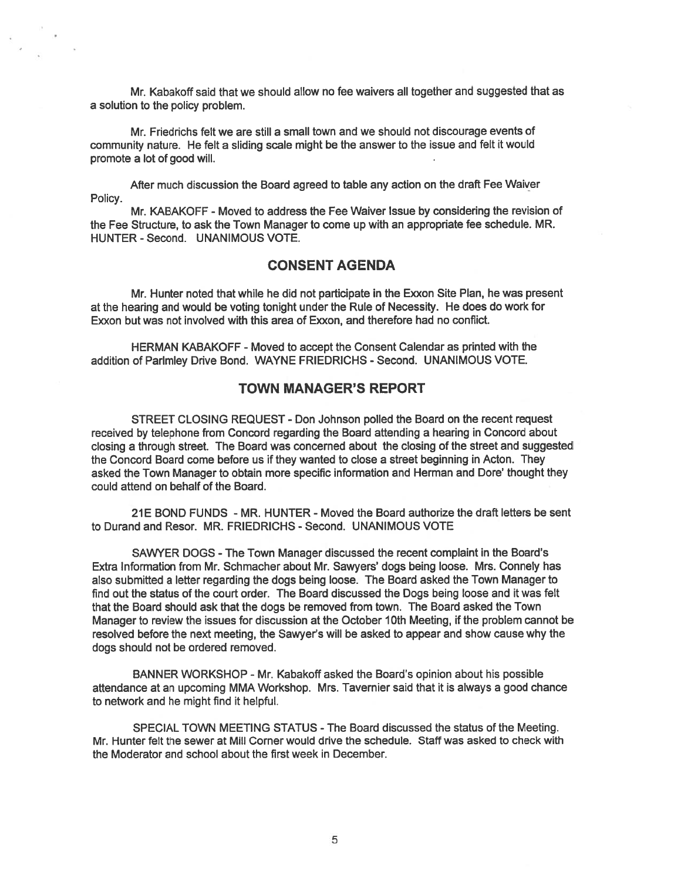Mr. Kabakoff said that we should allow no fee waivers all together and suggested that as <sup>a</sup> solution to the policy problem.

Mr. Friedrichs felt we are still <sup>a</sup> small town and we should not discourage events of community nature. He felt <sup>a</sup> sliding scale might be the answer to the issue and felt it would promote <sup>a</sup> lot of good will.

After much discussion the Board agreed to table any action on the draft Fee Waiver Policy.

Mr. KABAKOFF -Moved to address the Fee Waiver Issue by considering the revision of the Fee Structure, to ask the Town Manager to come up with an appropriate fee schedule. MR. HUNTER - Second. UNANIMOUS VOTE.

# CONSENT AGENDA

Mr. Hunter noted that while he did not participate in the Exxon Site Plan, he was presen<sup>t</sup> at the hearing and would be voting tonight under the Rule of Necessity. He does do work for Exxon but was not involved with this area of Exxon, and therefore had no conflict.

HERMAN KABAKOFF -Moved to accep<sup>t</sup> the Consent Calendar as printed with the addition of Parlmley Drive Bond. WAYNE FRIEDRICHS - Second. UNANIMOUS VOTE.

## TOWN MANAGER'S REPORT

STREET CLOSING REQUEST - Don Johnson polled the Board on the recent reques<sup>t</sup> received by telephone from Concord regarding the Board attending <sup>a</sup> hearing in Concord about closing <sup>a</sup> through street. The Board was concerned about the closing of the street and suggested the Concord Board come before us if they wanted to close <sup>a</sup> street beginning in Acton. They asked the Town Manager to obtain more specific information and Herman and Dore' thought they could attend on behalf of the Board.

21E BOND FUNDS - MR. HUNTER - Moved the Board authorize the draft letters be sent to Durand and Resot. MR. FRIEDRICHS - Second. UNANIMOUS VOTE

SAWYER DOGS -The Town Manager discussed the recent complaint in the Board's Extra Information ftom Mr. Schmacher about Mr. Sawyers' dogs being loose. Mrs. Connely has also submitted <sup>a</sup> letter regarding the dogs being loose. The Board asked the Town Manager to find out the status of the court order. The Board discussed the Dogs being loose and it was felt that the Board should ask that the dogs be removed from town. The Board asked the Town Manager to review the issues for discussion at the October 10th Meeting, if the problem cannot be resolved before the next meeting, the Sawyer's will be asked to appear and show cause why the dogs should not be ordered removed.

BANNER WORKSHOP - Mr. Kabakoff asked the Board's opinion about his possible attendance at an upcoming MMA Workshop. Mrs. Tavernier said that it is always <sup>a</sup> good chance to network and he might find it helpful.

SPECIAL TOWN MEETING STATUS -The Board discussed the status of the Meeting. Mr. Hunter felt the sewer at Mill Corner would drive the schedule. Staff was asked to check with the Moderator and school about the first week in December.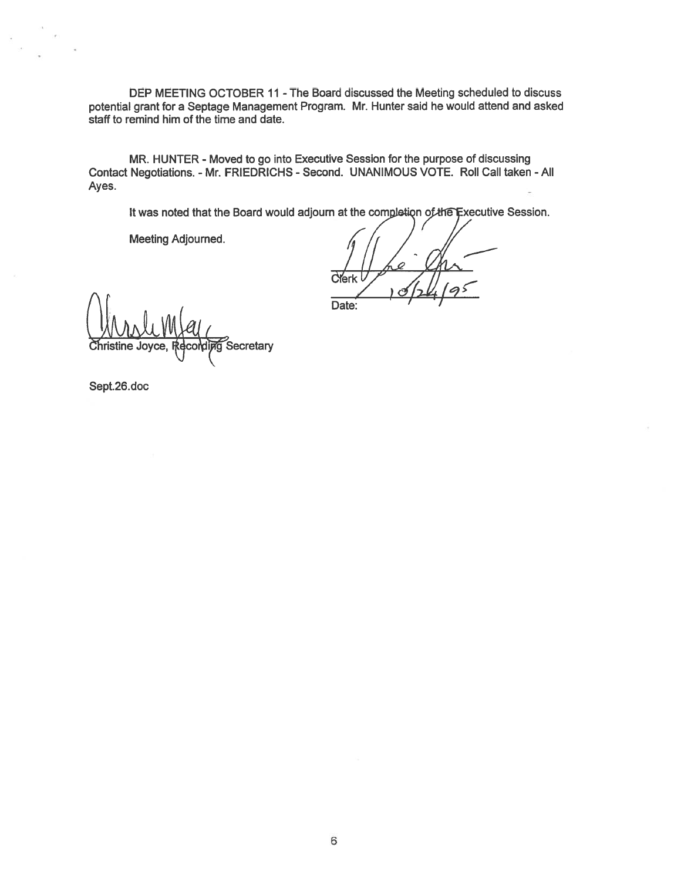DEP MEETING OCTOBER 11 -The Board discussed the Meeting scheduled to discuss potential gran<sup>t</sup> for <sup>a</sup> Septage Management Program. Mr. Hunter said he would attend and asked staff to remind him of the time and date.

MR. HUNTER - Moved to go into Executive Session for the purpose of discussing Contact Negotiations. - Mr. FRIEDRICHS - Second. UNANIMOUS VOTE. Roll Call taken -All Ayes. -

It was noted that the Board would adjourn at the completion of the Executive Session.

Meeting Adjourned.

CYerk Date:

Secretary

Sept.26.doc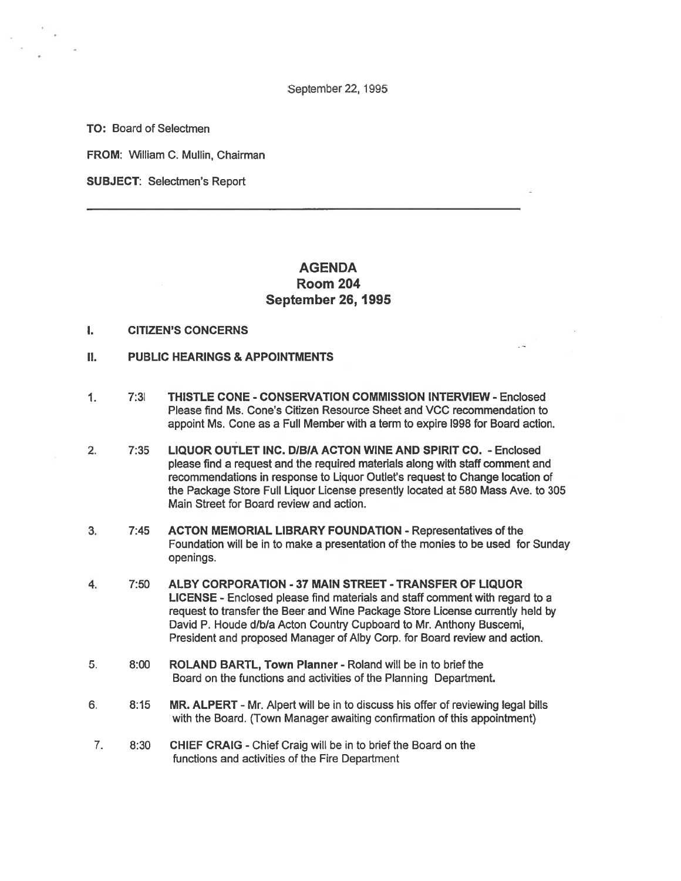September 22, 1995

TO: Board of Selectmen

FROM: William C. Mullin, Chairman

SUBJECT: Selectmen's Report

# AGENDA Room 204 September 26, 1995

## I. CITIZEN'S CONCERNS

- II. PUBLIC HEARINGS & APPOINTMENTS
- 1. 7:31 THISTLE CONE CONSERVATION COMMISSION INTERVIEW Enclosed Please find Ms. Cone's Citizen Resource Sheet and VCC recommendation to appoint Ms. Cone as <sup>a</sup> Full Member with <sup>a</sup> term to expire 1998 for Board action.
- 2. 7:35 LIQUOR OUTLET INC. DIBIA ACTON WINE AND SPIRIT CO. Enclosed please find <sup>a</sup> reques<sup>t</sup> and the required materials along with staff comment and recommendations in response to Liquor Outlet's reques<sup>t</sup> to Change location of the Package Store Full Liquor License presently located at 580 Mass Ave. to 305 Main Street for Board review and action.
- 3. 7:45 ACTON MEMORIAL LIBRARY FOUNDATION -Representatives of the Foundation will be in to make <sup>a</sup> presentation of the monies to be used for Sunday openings.
- 4. 7:50 ALBY CORPORATION -37 MAIN STREET TRANSFER OF LIQUOR LICENSE - Enclosed please find materials and staff comment with regard to <sup>a</sup> reques<sup>t</sup> to transfer the Beer and Wine Package Store License currently held by David P. Houde d/b/a Acton Country Cupboard to Mr. Anthony Buscemi, President and proposed Manager of Alby Corp. for Board review and action.
- 5. 8:00 ROLAND BARTL, Town Planner Roland will be in to brief the Board on the functions and activities of the Planning Department.
- 6. 8:15 MR. ALPERT Mr. Alpert will be in to discuss his offer of reviewing legal bills with the Board. (Town Manager awaiting confirmation of this appointment)
- 7. 8:30 CHIEF CRAIG -Chief Craig will be in to brief the Board on the functions and activities of the Fire Department